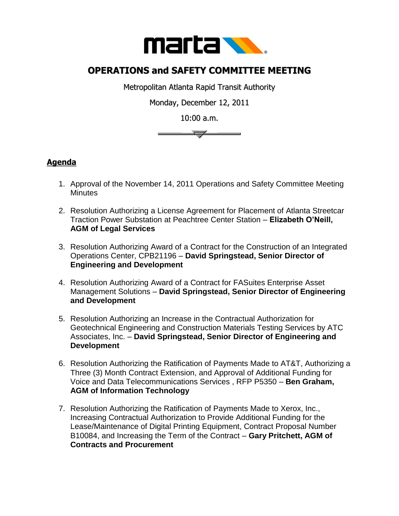

## **OPERATIONS and SAFETY COMMITTEE MEETING**

Metropolitan Atlanta Rapid Transit Authority

Monday, December 12, 2011

10:00 a.m.



## **Agenda**

- 1. Approval of the November 14, 2011 Operations and Safety Committee Meeting **Minutes**
- 2. Resolution Authorizing a License Agreement for Placement of Atlanta Streetcar Traction Power Substation at Peachtree Center Station – **Elizabeth O'Neill, AGM of Legal Services**
- 3. Resolution Authorizing Award of a Contract for the Construction of an Integrated Operations Center, CPB21196 – **David Springstead, Senior Director of Engineering and Development**
- 4. Resolution Authorizing Award of a Contract for FASuites Enterprise Asset Management Solutions – **David Springstead, Senior Director of Engineering and Development**
- 5. Resolution Authorizing an Increase in the Contractual Authorization for Geotechnical Engineering and Construction Materials Testing Services by ATC Associates, Inc. – **David Springstead, Senior Director of Engineering and Development**
- 6. Resolution Authorizing the Ratification of Payments Made to AT&T, Authorizing a Three (3) Month Contract Extension, and Approval of Additional Funding for Voice and Data Telecommunications Services , RFP P5350 – **Ben Graham, AGM of Information Technology**
- 7. Resolution Authorizing the Ratification of Payments Made to Xerox, Inc., Increasing Contractual Authorization to Provide Additional Funding for the Lease/Maintenance of Digital Printing Equipment, Contract Proposal Number B10084, and Increasing the Term of the Contract – **Gary Pritchett, AGM of Contracts and Procurement**